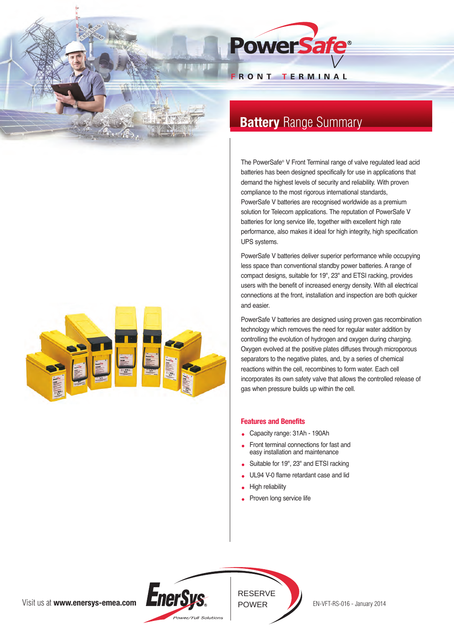

# **Battery Range Summary**

The PowerSafe® V Front Terminal range of valve regulated lead acid batteries has been designed specifically for use in applications that demand the highest levels of security and reliability. With proven compliance to the most rigorous international standards, PowerSafe V batteries are recognised worldwide as a premium solution for Telecom applications. The reputation of PowerSafe V batteries for long service life, together with excellent high rate performance, also makes it ideal for high integrity, high specification UPS systems.

PowerSafe V batteries deliver superior performance while occupying less space than conventional standby power batteries. A range of compact designs, suitable for 19", 23" and ETSI racking, provides users with the benefit of increased energy density. With all electrical connections at the front, installation and inspection are both quicker and easier.

PowerSafe V batteries are designed using proven gas recombination technology which removes the need for regular water addition by controlling the evolution of hydrogen and oxygen during charging. Oxygen evolved at the positive plates diffuses through microporous separators to the negative plates, and, by a series of chemical reactions within the cell, recombines to form water. Each cell incorporates its own safety valve that allows the controlled release of gas when pressure builds up within the cell.

# **Features and Benefits**

- Capacity range: 31Ah 190Ah
- Front terminal connections for fast and easy installation and maintenance
- Suitable for 19", 23" and ETSI racking
- UL94 V-0 flame retardant case and lid
- High reliability
- Proven long service life



Visit us at **www.enersys-emea.com**